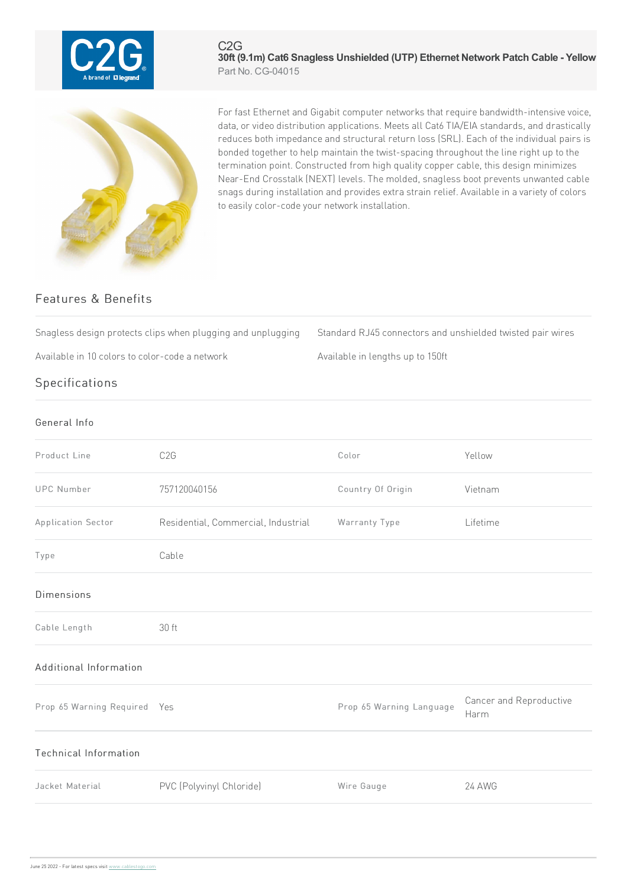

For fast Ethernet and Gigabit computer networks that require bandwidth-intensive voice, data, or video distribution applications. Meets all Cat6 TIA/EIA standards, and drastically reduces both impedance and structural return loss (SRL). Each of the individual pairs is bonded together to help maintain the twist-spacing throughout the line right up to the termination point. Constructed from high quality copper cable, this design minimizes Near-End Crosstalk (NEXT) levels. The molded, snagless boot prevents unwanted cable snags during installation and provides extra strain relief. Available in a variety of colors to easily color-code your network installation.

**30ft (9.1m) Cat6 Snagless Unshielded (UTP) Ethernet Network Patch Cable - Yellow**

## Features & Benefits

Snagless design protects clips when plugging and unplugging Standard RJ45 connectors and unshielded twisted pair wires

C2G

Part No. CG-04015

Available in 10 colors to color-code a network Available in lengths up to 150ft

## Specifications

| General Info |  |
|--------------|--|
|              |  |

| Product Line                 | C <sub>2</sub> G                    | Color                    | Yellow                          |
|------------------------------|-------------------------------------|--------------------------|---------------------------------|
| <b>UPC Number</b>            | 757120040156                        | Country Of Origin        | Vietnam                         |
| Application Sector           | Residential, Commercial, Industrial | Warranty Type            | Lifetime                        |
| Type                         | Cable                               |                          |                                 |
| <b>Dimensions</b>            |                                     |                          |                                 |
| Cable Length                 | 30 ft                               |                          |                                 |
| Additional Information       |                                     |                          |                                 |
| Prop 65 Warning Required Yes |                                     | Prop 65 Warning Language | Cancer and Reproductive<br>Harm |
| Technical Information        |                                     |                          |                                 |
| Jacket Material              | PVC (Polyvinyl Chloride)            | Wire Gauge               | <b>24 AWG</b>                   |
|                              |                                     |                          |                                 |